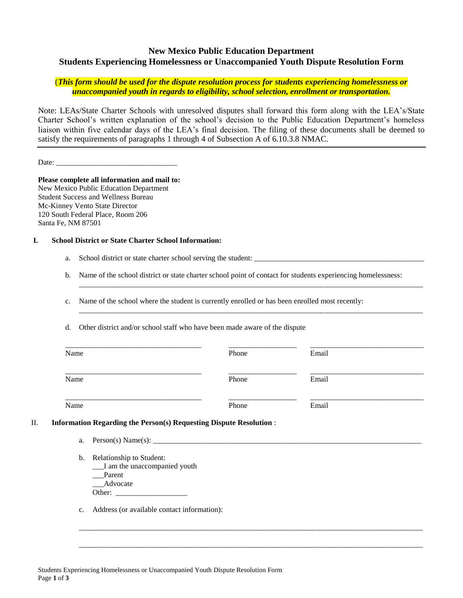## **New Mexico Public Education Department Students Experiencing Homelessness or Unaccompanied Youth Dispute Resolution Form**

## (*This form should be used for the dispute resolution process for students experiencing homelessness or unaccompanied youth in regards to eligibility, school selection, enrollment or transportation.*

Note: LEAs/State Charter Schools with unresolved disputes shall forward this form along with the LEA's/State Charter School's written explanation of the school's decision to the Public Education Department's homeless liaison within five calendar days of the LEA's final decision. The filing of these documents shall be deemed to satisfy the requirements of paragraphs 1 through 4 of Subsection A of 6.10.3.8 NMAC.

Date:

**Please complete all information and mail to:**  New Mexico Public Education Department Student Success and Wellness Bureau Mc-Kinney Vento State Director 120 South Federal Place, Room 206 Santa Fe, NM 87501

## **I. School District or State Charter School Information:**

a. School district or state charter school serving the student: \_\_\_\_\_\_\_\_\_\_\_\_\_\_\_\_\_\_\_\_\_\_\_\_\_\_\_\_\_\_\_\_\_\_\_\_\_\_\_\_\_\_\_\_\_

b. Name of the school district or state charter school point of contact for students experiencing homelessness:

\_\_\_\_\_\_\_\_\_\_\_\_\_\_\_\_\_\_\_\_\_\_\_\_\_\_\_\_\_\_\_\_\_\_\_\_\_\_\_\_\_\_\_\_\_\_\_\_\_\_\_\_\_\_\_\_\_\_\_\_\_\_\_\_\_\_\_\_\_\_\_\_\_\_\_\_\_\_\_\_\_\_\_\_\_\_\_\_\_\_\_

\_\_\_\_\_\_\_\_\_\_\_\_\_\_\_\_\_\_\_\_\_\_\_\_\_\_\_\_\_\_\_\_\_\_\_\_\_\_\_\_\_\_\_\_\_\_\_\_\_\_\_\_\_\_\_\_\_\_\_\_\_\_\_\_\_\_\_\_\_\_\_\_\_\_\_\_\_\_\_\_\_\_\_\_\_\_\_\_\_\_\_

c. Name of the school where the student is currently enrolled or has been enrolled most recently:

d. Other district and/or school staff who have been made aware of the dispute

| Name | Phone                                                                     | Email |
|------|---------------------------------------------------------------------------|-------|
| Name | Phone                                                                     | Email |
| Name | Phone                                                                     | Email |
|      | <b>Information Regarding the Person(s) Requesting Dispute Resolution:</b> |       |
| a.   | Person(s) Name(s):                                                        |       |
|      |                                                                           |       |

\_\_\_\_\_\_\_\_\_\_\_\_\_\_\_\_\_\_\_\_\_\_\_\_\_\_\_\_\_\_\_\_\_\_\_\_\_\_\_\_\_\_\_\_\_\_\_\_\_\_\_\_\_\_\_\_\_\_\_\_\_\_\_\_\_\_\_\_\_\_\_\_\_\_\_\_\_\_\_\_\_\_\_\_\_\_\_\_\_\_\_

\_\_\_\_\_\_\_\_\_\_\_\_\_\_\_\_\_\_\_\_\_\_\_\_\_\_\_\_\_\_\_\_\_\_\_\_\_\_\_\_\_\_\_\_\_\_\_\_\_\_\_\_\_\_\_\_\_\_\_\_\_\_\_\_\_\_\_\_\_\_\_\_\_\_\_\_\_\_\_\_\_\_\_\_\_\_\_\_\_\_\_

- b. Relationship to Student: \_\_\_I am the unaccompanied youth \_\_\_Parent \_Advocate Other:
- c. Address (or available contact information):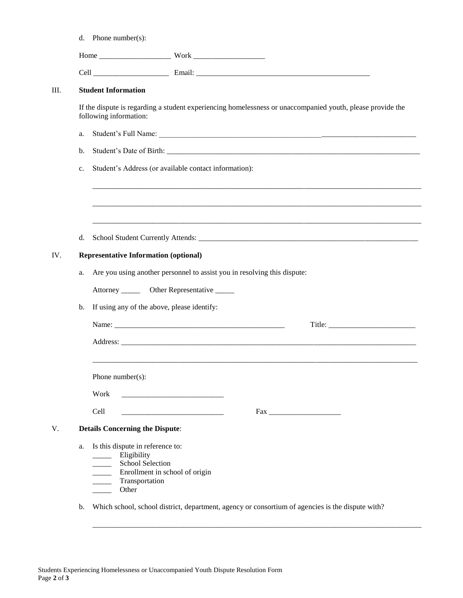|    | d. Phone number(s):                                                                                                                                                                       |                                                                          |                                                                                                            |
|----|-------------------------------------------------------------------------------------------------------------------------------------------------------------------------------------------|--------------------------------------------------------------------------|------------------------------------------------------------------------------------------------------------|
|    |                                                                                                                                                                                           |                                                                          |                                                                                                            |
|    |                                                                                                                                                                                           |                                                                          |                                                                                                            |
|    | <b>Student Information</b>                                                                                                                                                                |                                                                          |                                                                                                            |
|    | following information:                                                                                                                                                                    |                                                                          | If the dispute is regarding a student experiencing homelessness or unaccompanied youth, please provide the |
| a. |                                                                                                                                                                                           |                                                                          |                                                                                                            |
| b. |                                                                                                                                                                                           |                                                                          |                                                                                                            |
| c. |                                                                                                                                                                                           | Student's Address (or available contact information):                    |                                                                                                            |
|    |                                                                                                                                                                                           |                                                                          |                                                                                                            |
|    |                                                                                                                                                                                           |                                                                          |                                                                                                            |
| d. |                                                                                                                                                                                           |                                                                          |                                                                                                            |
|    | <b>Representative Information (optional)</b>                                                                                                                                              |                                                                          |                                                                                                            |
| a. |                                                                                                                                                                                           | Are you using another personnel to assist you in resolving this dispute: |                                                                                                            |
|    |                                                                                                                                                                                           | Attorney ________ Other Representative ______                            |                                                                                                            |
| b. |                                                                                                                                                                                           | If using any of the above, please identify:                              |                                                                                                            |
|    |                                                                                                                                                                                           |                                                                          |                                                                                                            |
|    |                                                                                                                                                                                           |                                                                          |                                                                                                            |
|    | Phone number( $s$ ):                                                                                                                                                                      |                                                                          |                                                                                                            |
|    | Work                                                                                                                                                                                      |                                                                          |                                                                                                            |
|    | Cell                                                                                                                                                                                      |                                                                          |                                                                                                            |
|    | <b>Details Concerning the Dispute:</b>                                                                                                                                                    |                                                                          |                                                                                                            |
| a. | Is this dispute in reference to:<br>______ Eligibility<br>School Selection<br>$\overline{\phantom{a}}$<br>$\overline{\phantom{a}}$<br>Transportation<br>$\overline{\phantom{a}}$<br>Other | Enrollment in school of origin                                           |                                                                                                            |

b. Which school, school district, department, agency or consortium of agencies is the dispute with?

\_\_\_\_\_\_\_\_\_\_\_\_\_\_\_\_\_\_\_\_\_\_\_\_\_\_\_\_\_\_\_\_\_\_\_\_\_\_\_\_\_\_\_\_\_\_\_\_\_\_\_\_\_\_\_\_\_\_\_\_\_\_\_\_\_\_\_\_\_\_\_\_\_\_\_\_\_\_\_\_\_\_\_\_\_\_\_